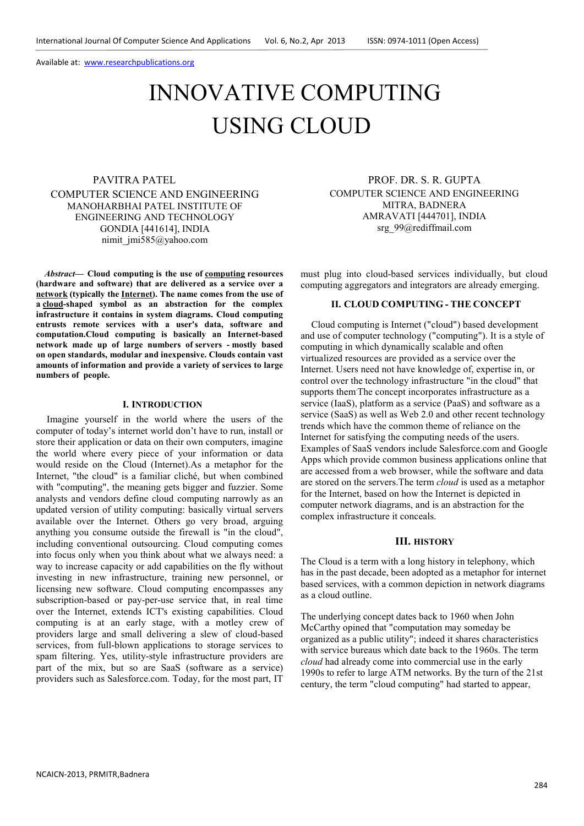# INNOVATIVE COMPUTING USING CLOUD

 PAVITRA PATEL COMPUTER SCIENCE AND ENGINEERING MANOHARBHAI PATEL INSTITUTE OF ENGINEERING AND TECHNOLOGY GONDIA [441614], INDIA nimit\_jmi585@yahoo.com

*Abstract***— Cloud computing is the use of computing resources (hardware and software) that are delivered as a service over a network (typically the Internet). The name comes from the use of a cloud-shaped symbol as an abstraction for the complex infrastructure it contains in system diagrams. Cloud computing entrusts remote services with a user's data, software and computation.Cloud computing is basically an Internet-based network made up of large numbers of servers - mostly based on open standards, modular and inexpensive. Clouds contain vast amounts of information and provide a variety of services to large numbers of people.** 

#### **I. INTRODUCTION**

Imagine yourself in the world where the users of the computer of today's internet world don't have to run, install or store their application or data on their own computers, imagine the world where every piece of your information or data would reside on the Cloud (Internet).As a metaphor for the Internet, "the cloud" is a familiar cliché, but when combined with "computing", the meaning gets bigger and fuzzier. Some analysts and vendors define cloud computing narrowly as an updated version of utility computing: basically virtual servers available over the Internet. Others go very broad, arguing anything you consume outside the firewall is "in the cloud", including conventional outsourcing. Cloud computing comes into focus only when you think about what we always need: a way to increase capacity or add capabilities on the fly without investing in new infrastructure, training new personnel, or licensing new software. Cloud computing encompasses any subscription-based or pay-per-use service that, in real time over the Internet, extends ICT's existing capabilities. Cloud computing is at an early stage, with a motley crew of providers large and small delivering a slew of cloud-based services, from full-blown applications to storage services to spam filtering. Yes, utility-style infrastructure providers are part of the mix, but so are SaaS (software as a service) providers such as Salesforce.com. Today, for the most part, IT

PROF. DR. S. R. GUPTA COMPUTER SCIENCE AND ENGINEERING MITRA, BADNERA AMRAVATI [444701], INDIA srg\_99@rediffmail.com

must plug into cloud-based services individually, but cloud computing aggregators and integrators are already emerging.

# **II. CLOUD COMPUTING - THE CONCEPT**

Cloud computing is Internet ("cloud") based development and use of computer technology ("computing"). It is a style of computing in which dynamically scalable and often virtualized resources are provided as a service over the Internet. Users need not have knowledge of, expertise in, or control over the technology infrastructure "in the cloud" that supports them. The concept incorporates infrastructure as a service (IaaS), platform as a service (PaaS) and software as a service (SaaS) as well as Web 2.0 and other recent technology trends which have the common theme of reliance on the Internet for satisfying the computing needs of the users. Examples of SaaS vendors include Salesforce.com and Google Apps which provide common business applications online that are accessed from a web browser, while the software and data are stored on the servers.The term *cloud* is used as a metaphor for the Internet, based on how the Internet is depicted in computer network diagrams, and is an abstraction for the complex infrastructure it conceals.

# **III. HISTORY**

The Cloud is a term with a long history in telephony, which has in the past decade, been adopted as a metaphor for internet based services, with a common depiction in network diagrams as a cloud outline.

The underlying concept dates back to 1960 when John McCarthy opined that "computation may someday be organized as a public utility"; indeed it shares characteristics with service bureaus which date back to the 1960s. The term *cloud* had already come into commercial use in the early 1990s to refer to large ATM networks. By the turn of the 21st century, the term "cloud computing" had started to appear,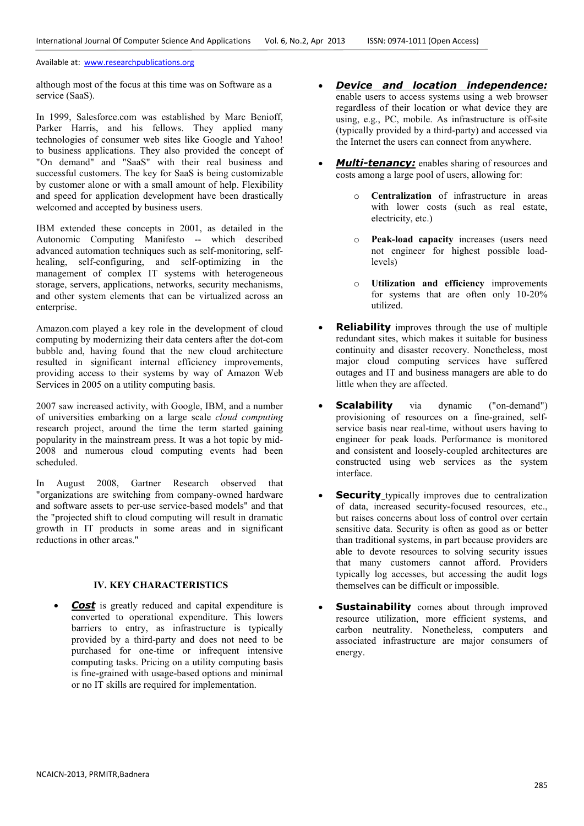although most of the focus at this time was on Software as a service (SaaS).

In 1999, Salesforce.com was established by Marc Benioff, Parker Harris, and his fellows. They applied many technologies of consumer web sites like Google and Yahoo! to business applications. They also provided the concept of "On demand" and "SaaS" with their real business and successful customers. The key for SaaS is being customizable by customer alone or with a small amount of help. Flexibility and speed for application development have been drastically welcomed and accepted by business users.

IBM extended these concepts in 2001, as detailed in the Autonomic Computing Manifesto -- which described advanced automation techniques such as self-monitoring, selfhealing, self-configuring, and self-optimizing in the management of complex IT systems with heterogeneous storage, servers, applications, networks, security mechanisms, and other system elements that can be virtualized across an enterprise.

Amazon.com played a key role in the development of cloud computing by modernizing their data centers after the dot-com bubble and, having found that the new cloud architecture resulted in significant internal efficiency improvements, providing access to their systems by way of Amazon Web Services in 2005 on a utility computing basis.

2007 saw increased activity, with Google, IBM, and a number of universities embarking on a large scale *cloud computing* research project, around the time the term started gaining popularity in the mainstream press. It was a hot topic by mid-2008 and numerous cloud computing events had been scheduled.

In August 2008, Gartner Research observed that "organizations are switching from company-owned hardware and software assets to per-use service-based models" and that the "projected shift to cloud computing will result in dramatic growth in IT products in some areas and in significant reductions in other areas."

# **IV. KEY CHARACTERISTICS**

**Cost** is greatly reduced and capital expenditure is converted to operational expenditure. This lowers barriers to entry, as infrastructure is typically provided by a third-party and does not need to be purchased for one-time or infrequent intensive computing tasks. Pricing on a utility computing basis is fine-grained with usage-based options and minimal or no IT skills are required for implementation.

- *Device and location independence:* enable users to access systems using a web browser regardless of their location or what device they are using, e.g., PC, mobile. As infrastructure is off-site (typically provided by a third-party) and accessed via the Internet the users can connect from anywhere.
- **Multi-tenancy:** enables sharing of resources and costs among a large pool of users, allowing for:
	- o **Centralization** of infrastructure in areas with lower costs (such as real estate, electricity, etc.)
	- o **Peak-load capacity** increases (users need not engineer for highest possible loadlevels)
	- o **Utilization and efficiency** improvements for systems that are often only 10-20% utilized.
- **Reliability** improves through the use of multiple redundant sites, which makes it suitable for business continuity and disaster recovery. Nonetheless, most major cloud computing services have suffered outages and IT and business managers are able to do little when they are affected.
- **Scalability** via dynamic ("on-demand") provisioning of resources on a fine-grained, selfservice basis near real-time, without users having to engineer for peak loads. Performance is monitored and consistent and loosely-coupled architectures are constructed using web services as the system interface.
- **Security** typically improves due to centralization of data, increased security-focused resources, etc., but raises concerns about loss of control over certain sensitive data. Security is often as good as or better than traditional systems, in part because providers are able to devote resources to solving security issues that many customers cannot afford. Providers typically log accesses, but accessing the audit logs themselves can be difficult or impossible.
- **Sustainability** comes about through improved resource utilization, more efficient systems, and carbon neutrality. Nonetheless, computers and associated infrastructure are major consumers of energy.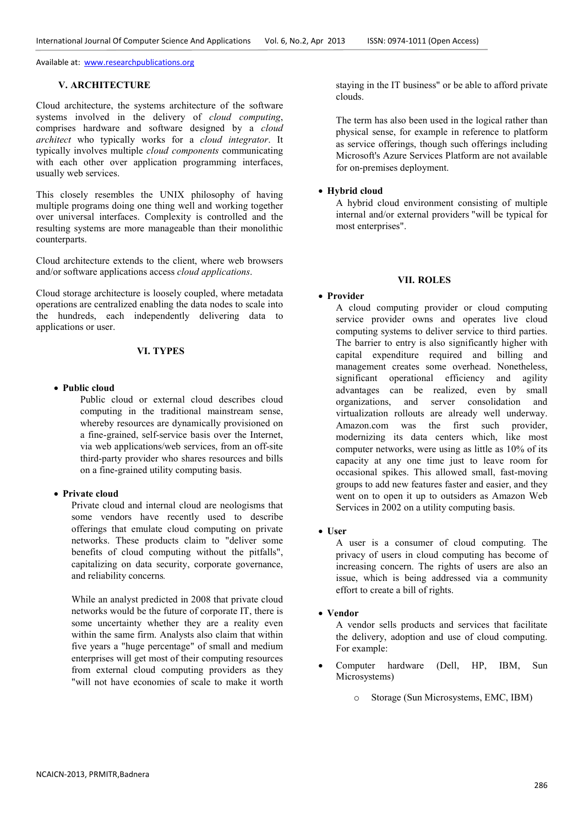#### **V. ARCHITECTURE**

Cloud architecture, the systems architecture of the software systems involved in the delivery of *cloud computing*, comprises hardware and software designed by a *cloud architect* who typically works for a *cloud integrator*. It typically involves multiple *cloud components* communicating with each other over application programming interfaces, usually web services.

This closely resembles the UNIX philosophy of having multiple programs doing one thing well and working together over universal interfaces. Complexity is controlled and the resulting systems are more manageable than their monolithic counterparts.

Cloud architecture extends to the client, where web browsers and/or software applications access *cloud applications*.

Cloud storage architecture is loosely coupled, where metadata operations are centralized enabling the data nodes to scale into the hundreds, each independently delivering data to applications or user.

# **VI. TYPES**

• **Public cloud** 

Public cloud or external cloud describes cloud computing in the traditional mainstream sense, whereby resources are dynamically provisioned on a fine-grained, self-service basis over the Internet, via web applications/web services, from an off-site third-party provider who shares resources and bills on a fine-grained utility computing basis.

## • **Private cloud**

Private cloud and internal cloud are neologisms that some vendors have recently used to describe offerings that emulate cloud computing on private networks. These products claim to "deliver some benefits of cloud computing without the pitfalls", capitalizing on data security, corporate governance, and reliability concerns*.* 

While an analyst predicted in 2008 that private cloud networks would be the future of corporate IT, there is some uncertainty whether they are a reality even within the same firm. Analysts also claim that within five years a "huge percentage" of small and medium enterprises will get most of their computing resources from external cloud computing providers as they "will not have economies of scale to make it worth staying in the IT business" or be able to afford private clouds.

The term has also been used in the logical rather than physical sense, for example in reference to platform as service offerings, though such offerings including Microsoft's Azure Services Platform are not available for on-premises deployment.

# • **Hybrid cloud**

A hybrid cloud environment consisting of multiple internal and/or external providers "will be typical for most enterprises".

## **VII. ROLES**

#### • **Provider**

A cloud computing provider or cloud computing service provider owns and operates live cloud computing systems to deliver service to third parties. The barrier to entry is also significantly higher with capital expenditure required and billing and management creates some overhead. Nonetheless, significant operational efficiency and agility advantages can be realized, even by small organizations, and server consolidation and virtualization rollouts are already well underway. Amazon.com was the first such provider, modernizing its data centers which, like most computer networks, were using as little as 10% of its capacity at any one time just to leave room for occasional spikes. This allowed small, fast-moving groups to add new features faster and easier, and they went on to open it up to outsiders as Amazon Web Services in 2002 on a utility computing basis.

• **User**

A user is a consumer of cloud computing. The privacy of users in cloud computing has become of increasing concern. The rights of users are also an issue, which is being addressed via a community effort to create a bill of rights.

• **Vendor**

A vendor sells products and services that facilitate the delivery, adoption and use of cloud computing. For example:

- Computer hardware (Dell, HP, IBM, Sun Microsystems)
	- o Storage (Sun Microsystems, EMC, IBM)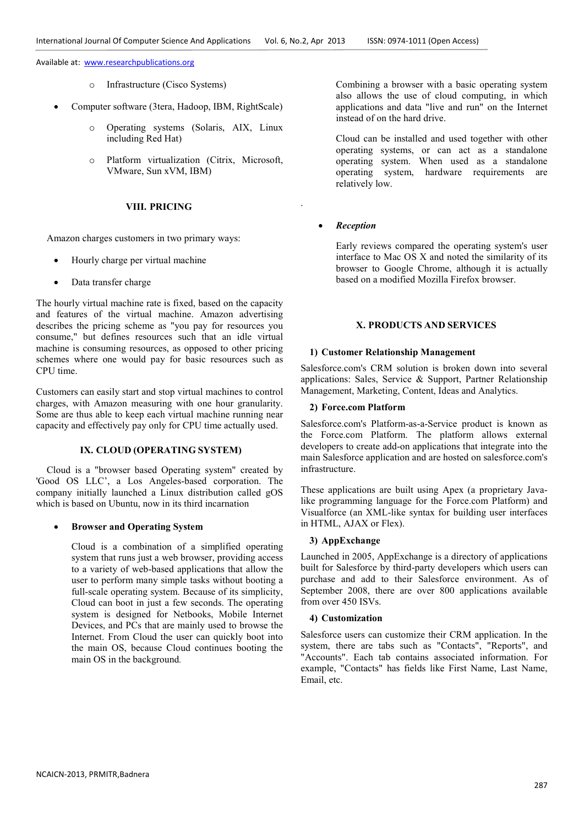- o Infrastructure (Cisco Systems)
- Computer software (3tera, Hadoop, IBM, RightScale)
	- o Operating systems (Solaris, AIX, Linux including Red Hat)
	- o Platform virtualization (Citrix, Microsoft, VMware, Sun xVM, IBM)

#### **VIII. PRICING**

Amazon charges customers in two primary ways:

- Hourly charge per virtual machine
- Data transfer charge

The hourly virtual machine rate is fixed, based on the capacity and features of the virtual machine. Amazon advertising describes the pricing scheme as "you pay for resources you consume," but defines resources such that an idle virtual machine is consuming resources, as opposed to other pricing schemes where one would pay for basic resources such as CPU time.

Customers can easily start and stop virtual machines to control charges, with Amazon measuring with one hour granularity. Some are thus able to keep each virtual machine running near capacity and effectively pay only for CPU time actually used.

# **IX. CLOUD (OPERATING SYSTEM)**

Cloud is a "browser based Operating system" created by 'Good OS LLC', a Los Angeles-based corporation. The company initially launched a Linux distribution called gOS which is based on Ubuntu, now in its third incarnation

#### • **Browser and Operating System**

Cloud is a combination of a simplified operating system that runs just a web browser, providing access to a variety of web-based applications that allow the user to perform many simple tasks without booting a full-scale operating system. Because of its simplicity, Cloud can boot in just a few seconds. The operating system is designed for Netbooks, Mobile Internet Devices, and PCs that are mainly used to browse the Internet. From Cloud the user can quickly boot into the main OS, because Cloud continues booting the main OS in the background*.* 

Combining a browser with a basic operating system also allows the use of cloud computing, in which applications and data "live and run" on the Internet instead of on the hard drive.

Cloud can be installed and used together with other operating systems, or can act as a standalone operating system. When used as a standalone operating system, hardware requirements are relatively low.

#### • *Reception*

.

Early reviews compared the operating system's user interface to Mac OS X and noted the similarity of its browser to Google Chrome, although it is actually based on a modified Mozilla Firefox browser.

## **X. PRODUCTS AND SERVICES**

#### **1) Customer Relationship Management**

Salesforce.com's CRM solution is broken down into several applications: Sales, Service & Support, Partner Relationship Management, Marketing, Content, Ideas and Analytics.

## **2) Force.com Platform**

Salesforce.com's Platform-as-a-Service product is known as the Force.com Platform. The platform allows external developers to create add-on applications that integrate into the main Salesforce application and are hosted on salesforce.com's infrastructure.

These applications are built using Apex (a proprietary Javalike programming language for the Force.com Platform) and Visualforce (an XML-like syntax for building user interfaces in HTML, AJAX or Flex).

#### **3) AppExchange**

Launched in 2005, AppExchange is a directory of applications built for Salesforce by third-party developers which users can purchase and add to their Salesforce environment. As of September 2008, there are over 800 applications available from over 450 ISVs.

## **4) Customization**

Salesforce users can customize their CRM application. In the system, there are tabs such as "Contacts", "Reports", and "Accounts". Each tab contains associated information. For example, "Contacts" has fields like First Name, Last Name, Email, etc.